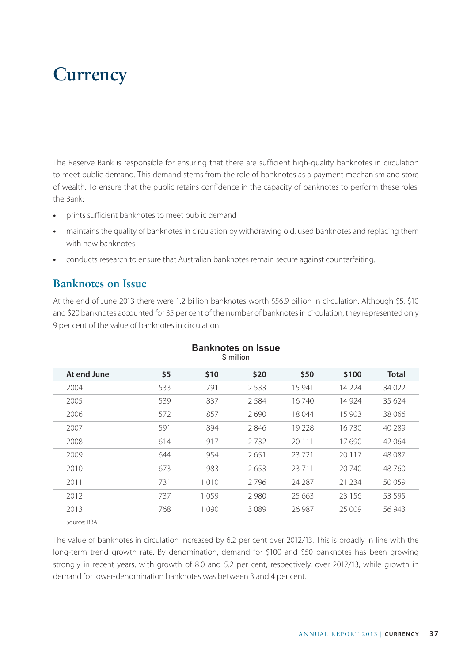# **Currency**

The Reserve Bank is responsible for ensuring that there are sufficient high-quality banknotes in circulation to meet public demand. This demand stems from the role of banknotes as a payment mechanism and store of wealth. To ensure that the public retains confidence in the capacity of banknotes to perform these roles, the Bank:

- **•** prints sufficient banknotes to meet public demand
- **•** maintains the quality of banknotes in circulation by withdrawing old, used banknotes and replacing them with new banknotes
- **•** conducts research to ensure that Australian banknotes remain secure against counterfeiting.

#### **Banknotes on Issue**

At the end of June 2013 there were 1.2 billion banknotes worth \$56.9 billion in circulation. Although \$5, \$10 and \$20 banknotes accounted for 35 per cent of the number of banknotes in circulation, they represented only 9 per cent of the value of banknotes in circulation.

| At end June | \$5 | \$10    | \$20    | \$50     | \$100   | <b>Total</b> |
|-------------|-----|---------|---------|----------|---------|--------------|
| 2004        | 533 | 791     | 2.533   | 15 941   | 14 2 24 | 34 0 22      |
| 2005        | 539 | 837     | 2584    | 16 740   | 14 9 24 | 35 624       |
| 2006        | 572 | 857     | 2690    | 18 044   | 15 903  | 38 066       |
| 2007        | 591 | 894     | 2846    | 19 228   | 16730   | 40 289       |
| 2008        | 614 | 917     | 2732    | 20 1 1 1 | 17690   | 42 064       |
| 2009        | 644 | 954     | 2651    | 23721    | 20 117  | 48 087       |
| 2010        | 673 | 983     | 2653    | 23 7 11  | 20 740  | 48 760       |
| 2011        | 731 | 1 0 1 0 | 2796    | 24 28 7  | 21 2 34 | 50059        |
| 2012        | 737 | 1059    | 2 9 8 0 | 25 663   | 23 15 6 | 53 5 95      |
| 2013        | 768 | 1090    | 3089    | 26 987   | 25 009  | 56 943       |

#### **Banknotes on Issue** \$ million

Source: RBA

The value of banknotes in circulation increased by 6.2 per cent over 2012/13. This is broadly in line with the long-term trend growth rate. By denomination, demand for \$100 and \$50 banknotes has been growing strongly in recent years, with growth of 8.0 and 5.2 per cent, respectively, over 2012/13, while growth in demand for lower-denomination banknotes was between 3 and 4 per cent.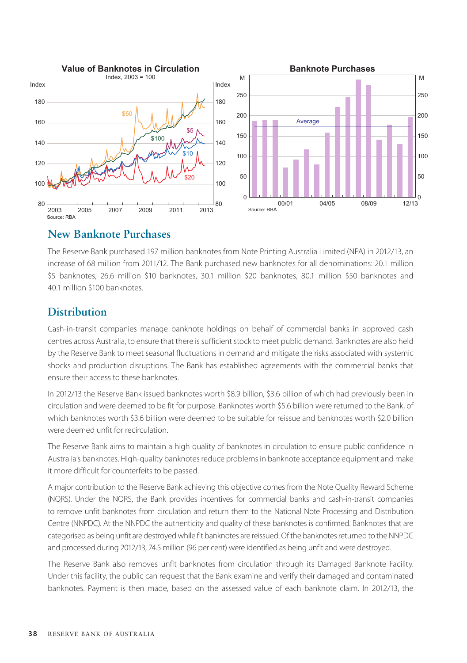

#### **New Banknote Purchases**

The Reserve Bank purchased 197 million banknotes from Note Printing Australia Limited (NPA) in 2012/13, an increase of 68 million from 2011/12. The Bank purchased new banknotes for all denominations: 20.1 million \$5 banknotes, 26.6 million \$10 banknotes, 30.1 million \$20 banknotes, 80.1 million \$50 banknotes and 40.1 million \$100 banknotes.

### **Distribution**

Cash-in-transit companies manage banknote holdings on behalf of commercial banks in approved cash centres across Australia, to ensure that there is sufficient stock to meet public demand. Banknotes are also held by the Reserve Bank to meet seasonal fluctuations in demand and mitigate the risks associated with systemic shocks and production disruptions. The Bank has established agreements with the commercial banks that ensure their access to these banknotes.

In 2012/13 the Reserve Bank issued banknotes worth \$8.9 billion, \$3.6 billion of which had previously been in circulation and were deemed to be fit for purpose. Banknotes worth \$5.6 billion were returned to the Bank, of which banknotes worth \$3.6 billion were deemed to be suitable for reissue and banknotes worth \$2.0 billion were deemed unfit for recirculation.

The Reserve Bank aims to maintain a high quality of banknotes in circulation to ensure public confidence in Australia's banknotes. High-quality banknotes reduce problems in banknote acceptance equipment and make it more difficult for counterfeits to be passed.

A major contribution to the Reserve Bank achieving this objective comes from the Note Quality Reward Scheme (NQRS). Under the NQRS, the Bank provides incentives for commercial banks and cash-in-transit companies to remove unfit banknotes from circulation and return them to the National Note Processing and Distribution Centre (NNPDC). At the NNPDC the authenticity and quality of these banknotes is confirmed. Banknotes that are categorised as being unfit are destroyed while fit banknotes are reissued. Of the banknotes returned to the NNPDC and processed during 2012/13, 74.5 million (96 per cent) were identified as being unfit and were destroyed.

The Reserve Bank also removes unfit banknotes from circulation through its Damaged Banknote Facility. Under this facility, the public can request that the Bank examine and verify their damaged and contaminated banknotes. Payment is then made, based on the assessed value of each banknote claim. In 2012/13, the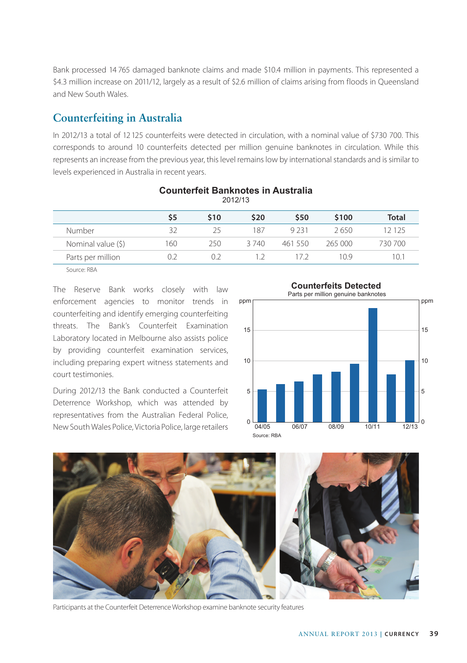Bank processed 14 765 damaged banknote claims and made \$10.4 million in payments. This represented a \$4.3 million increase on 2011/12, largely as a result of \$2.6 million of claims arising from floods in Queensland and New South Wales.

### **Counterfeiting in Australia**

In 2012/13 a total of 12 125 counterfeits were detected in circulation, with a nominal value of \$730 700. This corresponds to around 10 counterfeits detected per million genuine banknotes in circulation. While this represents an increase from the previous year, this level remains low by international standards and is similar to levels experienced in Australia in recent years.

| 2012/13            |     |      |       |         |         |         |  |  |  |
|--------------------|-----|------|-------|---------|---------|---------|--|--|--|
|                    | \$5 | \$10 | \$20  | \$50    | \$100   | Total   |  |  |  |
| Number             | 32  | 25   | 187   | 9 2 3 1 | 2650    | 12 125  |  |  |  |
| Nominal value (\$) | 160 | 250  | 3 740 | 461 550 | 265 000 | 730 700 |  |  |  |
| Parts per million  | 0.2 | ロフ   | 12    | 172     | 10.9    | 10.1    |  |  |  |
| ___                |     |      |       |         |         |         |  |  |  |

### **Counterfeit Banknotes in Australia**

Source: RBA

The Reserve Bank works closely with law enforcement agencies to monitor trends in counterfeiting and identify emerging counterfeiting threats. The Bank's Counterfeit Examination Laboratory located in Melbourne also assists police by providing counterfeit examination services, including preparing expert witness statements and court testimonies.

During 2012/13 the Bank conducted a Counterfeit Deterrence Workshop, which was attended by representatives from the Australian Federal Police, New South Wales Police, Victoria Police, large retailers <sup>0</sup>





Participants at the Counterfeit Deterrence Workshop examine banknote security features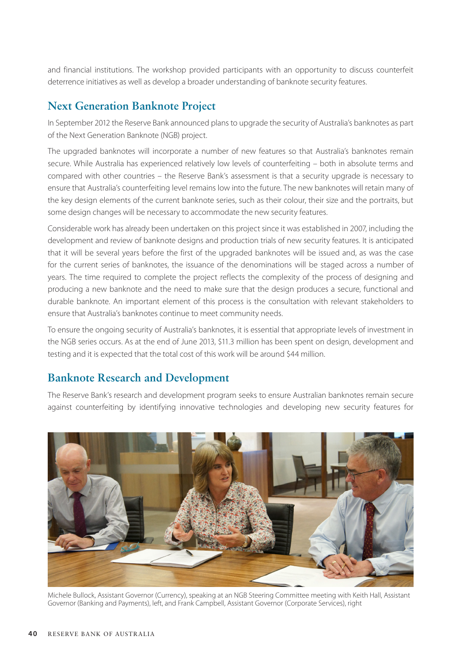and financial institutions. The workshop provided participants with an opportunity to discuss counterfeit deterrence initiatives as well as develop a broader understanding of banknote security features.

### **Next Generation Banknote Project**

In September 2012 the Reserve Bank announced plans to upgrade the security of Australia's banknotes as part of the Next Generation Banknote (NGB) project.

The upgraded banknotes will incorporate a number of new features so that Australia's banknotes remain secure. While Australia has experienced relatively low levels of counterfeiting – both in absolute terms and compared with other countries – the Reserve Bank's assessment is that a security upgrade is necessary to ensure that Australia's counterfeiting level remains low into the future. The new banknotes will retain many of the key design elements of the current banknote series, such as their colour, their size and the portraits, but some design changes will be necessary to accommodate the new security features.

Considerable work has already been undertaken on this project since it was established in 2007, including the development and review of banknote designs and production trials of new security features. It is anticipated that it will be several years before the first of the upgraded banknotes will be issued and, as was the case for the current series of banknotes, the issuance of the denominations will be staged across a number of years. The time required to complete the project reflects the complexity of the process of designing and producing a new banknote and the need to make sure that the design produces a secure, functional and durable banknote. An important element of this process is the consultation with relevant stakeholders to ensure that Australia's banknotes continue to meet community needs.

To ensure the ongoing security of Australia's banknotes, it is essential that appropriate levels of investment in the NGB series occurs. As at the end of June 2013, \$11.3 million has been spent on design, development and testing and it is expected that the total cost of this work will be around \$44 million.

#### **Banknote Research and Development**

The Reserve Bank's research and development program seeks to ensure Australian banknotes remain secure against counterfeiting by identifying innovative technologies and developing new security features for



Michele Bullock, Assistant Governor (Currency), speaking at an NGB Steering Committee meeting with Keith Hall, Assistant Governor (Banking and Payments), left, and Frank Campbell, Assistant Governor (Corporate Services), right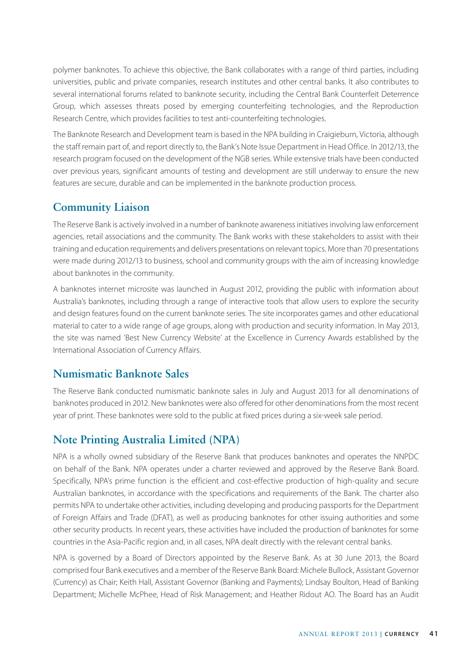polymer banknotes. To achieve this objective, the Bank collaborates with a range of third parties, including universities, public and private companies, research institutes and other central banks. It also contributes to several international forums related to banknote security, including the Central Bank Counterfeit Deterrence Group, which assesses threats posed by emerging counterfeiting technologies, and the Reproduction Research Centre, which provides facilities to test anti-counterfeiting technologies.

The Banknote Research and Development team is based in the NPA building in Craigieburn, Victoria, although the staff remain part of, and report directly to, the Bank's Note Issue Department in Head Office. In 2012/13, the research program focused on the development of the NGB series. While extensive trials have been conducted over previous years, significant amounts of testing and development are still underway to ensure the new features are secure, durable and can be implemented in the banknote production process.

# **Community Liaison**

The Reserve Bank is actively involved in a number of banknote awareness initiatives involving law enforcement agencies, retail associations and the community. The Bank works with these stakeholders to assist with their training and education requirements and delivers presentations on relevant topics. More than 70 presentations were made during 2012/13 to business, school and community groups with the aim of increasing knowledge about banknotes in the community.

A banknotes internet microsite was launched in August 2012, providing the public with information about Australia's banknotes, including through a range of interactive tools that allow users to explore the security and design features found on the current banknote series. The site incorporates games and other educational material to cater to a wide range of age groups, along with production and security information. In May 2013, the site was named 'Best New Currency Website' at the Excellence in Currency Awards established by the International Association of Currency Affairs.

## **Numismatic Banknote Sales**

The Reserve Bank conducted numismatic banknote sales in July and August 2013 for all denominations of banknotes produced in 2012. New banknotes were also offered for other denominations from the most recent year of print. These banknotes were sold to the public at fixed prices during a six-week sale period.

# **Note Printing Australia Limited (NPA)**

NPA is a wholly owned subsidiary of the Reserve Bank that produces banknotes and operates the NNPDC on behalf of the Bank. NPA operates under a charter reviewed and approved by the Reserve Bank Board. Specifically, NPA's prime function is the efficient and cost-effective production of high-quality and secure Australian banknotes, in accordance with the specifications and requirements of the Bank. The charter also permits NPA to undertake other activities, including developing and producing passports for the Department of Foreign Affairs and Trade (DFAT), as well as producing banknotes for other issuing authorities and some other security products. In recent years, these activities have included the production of banknotes for some countries in the Asia-Pacific region and, in all cases, NPA dealt directly with the relevant central banks.

NPA is governed by a Board of Directors appointed by the Reserve Bank. As at 30 June 2013, the Board comprised four Bank executives and a member of the Reserve Bank Board: Michele Bullock, Assistant Governor (Currency) as Chair; Keith Hall, Assistant Governor (Banking and Payments); Lindsay Boulton, Head of Banking Department; Michelle McPhee, Head of Risk Management; and Heather Ridout AO. The Board has an Audit